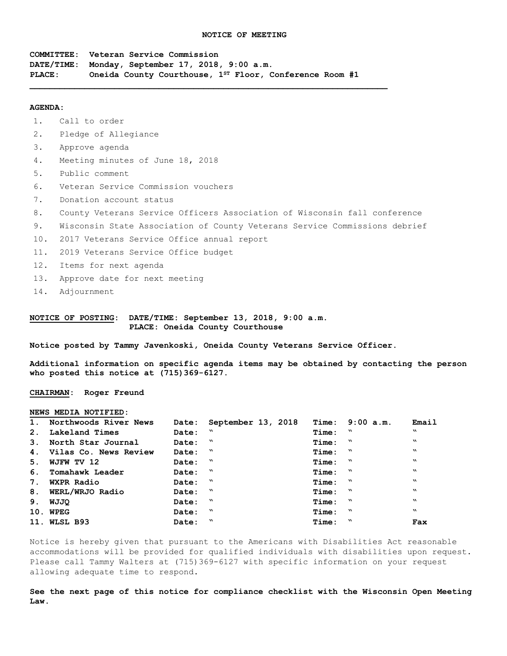**COMMITTEE: Veteran Service Commission DATE/TIME: Monday, September 17, 2018, 9:00 a.m. PLACE: Oneida County Courthouse, 1ST Floor, Conference Room #1** 

 $\mathcal{L} = \{ \mathcal{L} \mathcal{L} \mathcal{L} \mathcal{L} \mathcal{L} \mathcal{L} \mathcal{L} \mathcal{L} \mathcal{L} \mathcal{L} \mathcal{L} \mathcal{L} \mathcal{L} \mathcal{L} \mathcal{L} \mathcal{L} \mathcal{L} \mathcal{L} \mathcal{L} \mathcal{L} \mathcal{L} \mathcal{L} \mathcal{L} \mathcal{L} \mathcal{L} \mathcal{L} \mathcal{L} \mathcal{L} \mathcal{L} \mathcal{L} \mathcal{L} \mathcal{L} \mathcal{L} \mathcal{L} \mathcal{L} \$ 

#### **AGENDA:**

1. Call to order

- 2. Pledge of Allegiance
- 3. Approve agenda
- 4. Meeting minutes of June 18, 2018
- 5. Public comment
- 6. Veteran Service Commission vouchers
- 7. Donation account status
- 8. County Veterans Service Officers Association of Wisconsin fall conference
- 9. Wisconsin State Association of County Veterans Service Commissions debrief
- 10. 2017 Veterans Service Office annual report
- 11. 2019 Veterans Service Office budget
- 12. Items for next agenda
- 13. Approve date for next meeting
- 14. Adjournment

### **NOTICE OF POSTING: DATE/TIME: September 13, 2018, 9:00 a.m. PLACE: Oneida County Courthouse**

**Notice posted by Tammy Javenkoski, Oneida County Veterans Service Officer.**

**Additional information on specific agenda items may be obtained by contacting the person who posted this notice at (715)369-6127.**

### **CHAIRMAN: Roger Freund**

#### **NEWS MEDIA NOTIFIED:**

| 1. Northwoods River News |         | Date: September 13, 2018 |             | Time: 9:00 a.m. | Email                     |
|--------------------------|---------|--------------------------|-------------|-----------------|---------------------------|
| 2. Lakeland Times        | Date: " |                          | Time: "     |                 | w                         |
| 3. North Star Journal    | Date: " |                          | Time: "     |                 | w                         |
| 4. Vilas Co. News Review | Date: " |                          | Time: "     |                 | $\boldsymbol{\mathsf{v}}$ |
| 5. WJFW TV 12            | Date: " |                          | $Time:$ $"$ |                 | $\mathbf{v}$              |
| 6. Tomahawk Leader       | Date: " |                          | $Time:$ $"$ |                 | $\boldsymbol{\mathsf{v}}$ |
| 7. WXPR Radio            | Date: " |                          | $Time:$ $"$ |                 | $\boldsymbol{\mathsf{v}}$ |
| 8. WERL/WRJO Radio       | Date: " |                          | $Time:$ $"$ |                 | $\mathbf{v}$              |
| 9. WJJO                  | Date: " |                          | $Time:$ $"$ |                 | $\mathbf{v}$              |
| 10. WPEG                 | Date: " |                          | $Time:$ $"$ |                 | $\mathbf{v}$              |
| 11. WLSL B93             | Date: " |                          | $Time:$ $"$ |                 | Fax                       |

Notice is hereby given that pursuant to the Americans with Disabilities Act reasonable accommodations will be provided for qualified individuals with disabilities upon request. Please call Tammy Walters at (715)369-6127 with specific information on your request allowing adequate time to respond.

**See the next page of this notice for compliance checklist with the Wisconsin Open Meeting Law.**